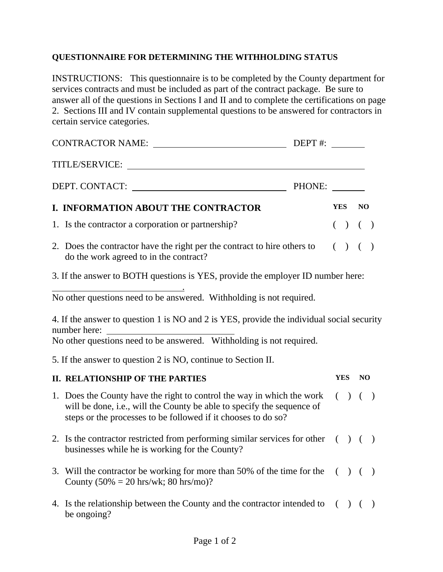#### **QUESTIONNAIRE FOR DETERMINING THE WITHHOLDING STATUS**

INSTRUCTIONS: This questionnaire is to be completed by the County department for services contracts and must be included as part of the contract package. Be sure to answer all of the questions in Sections I and II and to complete the certifications on page 2. Sections III and IV contain supplemental questions to be answered for contractors in certain service categories.

|                                                                                 | CONTRACTOR NAME: DEPT #:                                                                                                                                                                                                    |  |  |            |           |  |
|---------------------------------------------------------------------------------|-----------------------------------------------------------------------------------------------------------------------------------------------------------------------------------------------------------------------------|--|--|------------|-----------|--|
|                                                                                 |                                                                                                                                                                                                                             |  |  |            |           |  |
|                                                                                 |                                                                                                                                                                                                                             |  |  |            |           |  |
|                                                                                 | I. INFORMATION ABOUT THE CONTRACTOR                                                                                                                                                                                         |  |  |            | YES NO    |  |
|                                                                                 | 1. Is the contractor a corporation or partnership?                                                                                                                                                                          |  |  |            | $( ) ( )$ |  |
|                                                                                 | 2. Does the contractor have the right per the contract to hire others to $( ) ( )$<br>do the work agreed to in the contract?                                                                                                |  |  |            |           |  |
| 3. If the answer to BOTH questions is YES, provide the employer ID number here: |                                                                                                                                                                                                                             |  |  |            |           |  |
|                                                                                 | No other questions need to be answered. Withholding is not required.                                                                                                                                                        |  |  |            |           |  |
|                                                                                 | 4. If the answer to question 1 is NO and 2 is YES, provide the individual social security<br>number here:<br>No other questions need to be answered. Withholding is not required.                                           |  |  |            |           |  |
|                                                                                 | 5. If the answer to question 2 is NO, continue to Section II.                                                                                                                                                               |  |  |            |           |  |
|                                                                                 | <b>II. RELATIONSHIP OF THE PARTIES</b>                                                                                                                                                                                      |  |  | <b>YES</b> | <b>NO</b> |  |
|                                                                                 | 1. Does the County have the right to control the way in which the work $( ) ( )$<br>will be done, i.e., will the County be able to specify the sequence of<br>steps or the processes to be followed if it chooses to do so? |  |  |            |           |  |
|                                                                                 | 2. Is the contractor restricted from performing similar services for other $( ) ( )$<br>businesses while he is working for the County?                                                                                      |  |  |            |           |  |
|                                                                                 | 3. Will the contractor be working for more than 50% of the time for the $( ) ( )$<br>County $(50\% = 20 \text{ hrs/wk}; 80 \text{ hrs/mo})$ ?                                                                               |  |  |            |           |  |
|                                                                                 | 4. Is the relationship between the County and the contractor intended to $( ) ( )$<br>be ongoing?                                                                                                                           |  |  |            |           |  |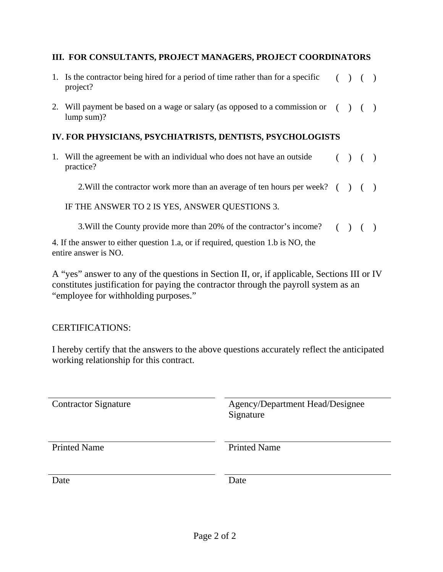#### **III. FOR CONSULTANTS, PROJECT MANAGERS, PROJECT COORDINATORS**

- 1. Is the contractor being hired for a period of time rather than for a specific project?  $( ) ( )$
- 2. Will payment be based on a wage or salary (as opposed to a commission or  $( ) ( )$ lump sum)?

#### **IV. FOR PHYSICIANS, PSYCHIATRISTS, DENTISTS, PSYCHOLOGISTS**

1. Will the agreement be with an individual who does not have an outside practice?  $( ) ( )$ 

2. Will the contractor work more than an average of ten hours per week?  $( )$  ()

IF THE ANSWER TO 2 IS YES, ANSWER QUESTIONS 3.

3.Will the County provide more than 20% of the contractor's income? ( ) ( )

4. If the answer to either question 1.a, or if required, question 1.b is NO, the entire answer is NO.

A "yes" answer to any of the questions in Section II, or, if applicable, Sections III or IV constitutes justification for paying the contractor through the payroll system as an "employee for withholding purposes."

CERTIFICATIONS:

I hereby certify that the answers to the above questions accurately reflect the anticipated working relationship for this contract.

| <b>Contractor Signature</b> | Agency/Department Head/Designee<br>Signature |
|-----------------------------|----------------------------------------------|
| <b>Printed Name</b>         | <b>Printed Name</b>                          |
| Date                        | Date                                         |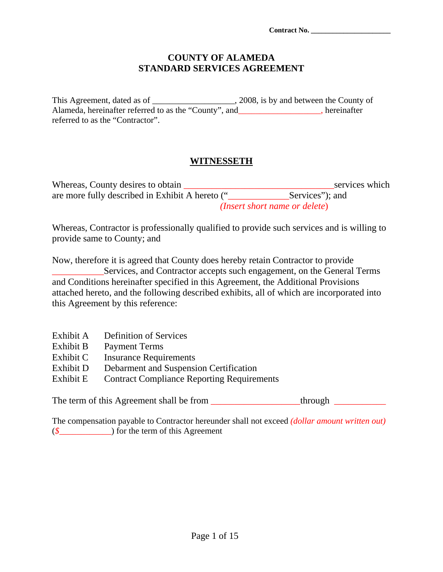**Contract No. \_\_\_\_\_\_\_\_\_\_\_\_\_\_\_\_\_\_\_\_\_\_** 

#### **COUNTY OF ALAMEDA STANDARD SERVICES AGREEMENT**

This Agreement, dated as of \_\_\_\_\_\_\_\_\_\_\_\_\_\_\_\_\_\_\_\_, 2008, is by and between the County of Alameda, hereinafter referred to as the "County", and\_\_\_\_\_\_\_\_\_\_\_\_\_\_\_\_\_\_\_, hereinafter referred to as the "Contractor".

### **WITNESSETH**

| Whereas, County desires to obtain               |                                        | services which |
|-------------------------------------------------|----------------------------------------|----------------|
| are more fully described in Exhibit A hereto (" | Services"; and                         |                |
|                                                 | ( <i>Insert short name or delete</i> ) |                |

Whereas, Contractor is professionally qualified to provide such services and is willing to provide same to County; and

Now, therefore it is agreed that County does hereby retain Contractor to provide \_\_\_\_\_\_\_\_\_\_\_Services, and Contractor accepts such engagement, on the General Terms and Conditions hereinafter specified in this Agreement, the Additional Provisions attached hereto, and the following described exhibits, all of which are incorporated into this Agreement by this reference:

- Exhibit A Definition of Services
- Exhibit B Payment Terms
- Exhibit C Insurance Requirements
- Exhibit D Debarment and Suspension Certification
- Exhibit E Contract Compliance Reporting Requirements

The term of this Agreement shall be from \_\_\_\_\_\_\_\_\_\_\_\_\_\_\_\_\_through \_\_\_\_\_\_\_\_\_\_\_\_\_\_

The compensation payable to Contractor hereunder shall not exceed *(dollar amount written out)*  (*\$\_*\_\_\_\_\_\_\_\_\_\_\_) for the term of this Agreement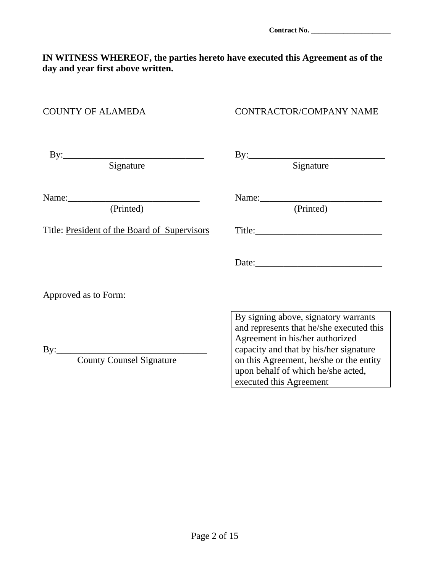## **IN WITNESS WHEREOF, the parties hereto have executed this Agreement as of the day and year first above written.**

#### COUNTY OF ALAMEDA CONTRACTOR/COMPANY NAME

| Signature                                    | Signature                                                                                                                                                                                                                                                                 |  |
|----------------------------------------------|---------------------------------------------------------------------------------------------------------------------------------------------------------------------------------------------------------------------------------------------------------------------------|--|
| (Printed)                                    | (Printed)                                                                                                                                                                                                                                                                 |  |
| Title: President of the Board of Supervisors | Title:                                                                                                                                                                                                                                                                    |  |
| Approved as to Form:                         |                                                                                                                                                                                                                                                                           |  |
| <b>County Counsel Signature</b>              | By signing above, signatory warrants<br>and represents that he/she executed this<br>Agreement in his/her authorized<br>capacity and that by his/her signature<br>on this Agreement, he/she or the entity<br>upon behalf of which he/she acted,<br>executed this Agreement |  |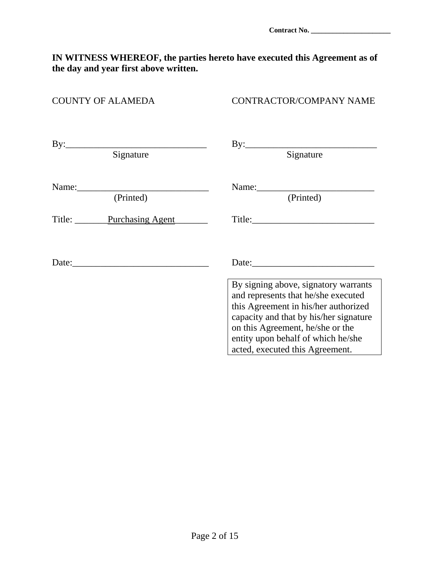#### **IN WITNESS WHEREOF, the parties hereto have executed this Agreement as of the day and year first above written.**

| <b>COUNTY OF ALAMEDA</b> | CONTRACTOR/COMPANY NAME                                                                                                                                                                                                                                                    |
|--------------------------|----------------------------------------------------------------------------------------------------------------------------------------------------------------------------------------------------------------------------------------------------------------------------|
| Signature                | $\text{By:}\_$<br>Signature                                                                                                                                                                                                                                                |
| (Printed)                | (Printed)                                                                                                                                                                                                                                                                  |
| Title: Purchasing Agent  |                                                                                                                                                                                                                                                                            |
|                          | Date:                                                                                                                                                                                                                                                                      |
|                          | By signing above, signatory warrants<br>and represents that he/she executed<br>this Agreement in his/her authorized<br>capacity and that by his/her signature<br>on this Agreement, he/she or the<br>entity upon behalf of which he/she<br>acted, executed this Agreement. |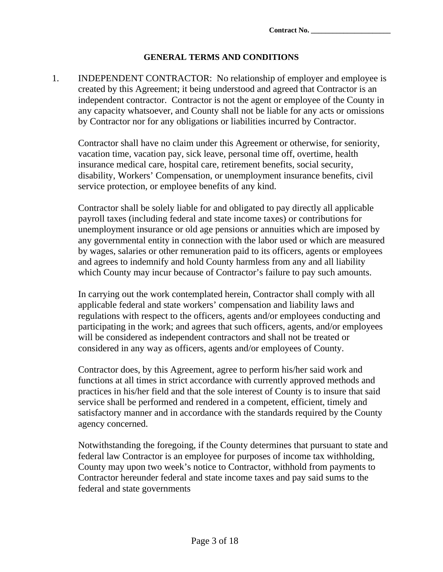#### **GENERAL TERMS AND CONDITIONS**

1. INDEPENDENT CONTRACTOR: No relationship of employer and employee is created by this Agreement; it being understood and agreed that Contractor is an independent contractor. Contractor is not the agent or employee of the County in any capacity whatsoever, and County shall not be liable for any acts or omissions by Contractor nor for any obligations or liabilities incurred by Contractor.

Contractor shall have no claim under this Agreement or otherwise, for seniority, vacation time, vacation pay, sick leave, personal time off, overtime, health insurance medical care, hospital care, retirement benefits, social security, disability, Workers' Compensation, or unemployment insurance benefits, civil service protection, or employee benefits of any kind.

Contractor shall be solely liable for and obligated to pay directly all applicable payroll taxes (including federal and state income taxes) or contributions for unemployment insurance or old age pensions or annuities which are imposed by any governmental entity in connection with the labor used or which are measured by wages, salaries or other remuneration paid to its officers, agents or employees and agrees to indemnify and hold County harmless from any and all liability which County may incur because of Contractor's failure to pay such amounts.

In carrying out the work contemplated herein, Contractor shall comply with all applicable federal and state workers' compensation and liability laws and regulations with respect to the officers, agents and/or employees conducting and participating in the work; and agrees that such officers, agents, and/or employees will be considered as independent contractors and shall not be treated or considered in any way as officers, agents and/or employees of County.

Contractor does, by this Agreement, agree to perform his/her said work and functions at all times in strict accordance with currently approved methods and practices in his/her field and that the sole interest of County is to insure that said service shall be performed and rendered in a competent, efficient, timely and satisfactory manner and in accordance with the standards required by the County agency concerned.

Notwithstanding the foregoing, if the County determines that pursuant to state and federal law Contractor is an employee for purposes of income tax withholding, County may upon two week's notice to Contractor, withhold from payments to Contractor hereunder federal and state income taxes and pay said sums to the federal and state governments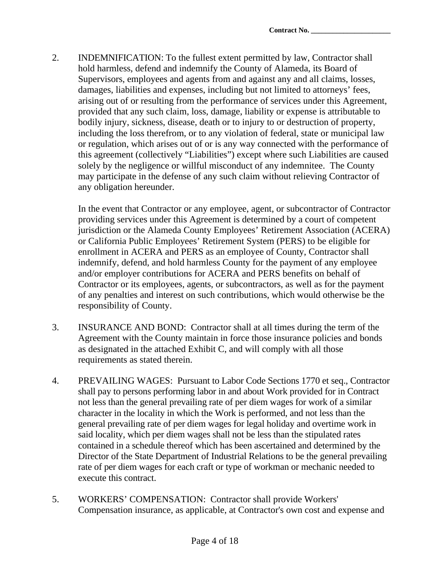2. INDEMNIFICATION: To the fullest extent permitted by law, Contractor shall hold harmless, defend and indemnify the County of Alameda, its Board of Supervisors, employees and agents from and against any and all claims, losses, damages, liabilities and expenses, including but not limited to attorneys' fees, arising out of or resulting from the performance of services under this Agreement, provided that any such claim, loss, damage, liability or expense is attributable to bodily injury, sickness, disease, death or to injury to or destruction of property, including the loss therefrom, or to any violation of federal, state or municipal law or regulation, which arises out of or is any way connected with the performance of this agreement (collectively "Liabilities") except where such Liabilities are caused solely by the negligence or willful misconduct of any indemnitee. The County may participate in the defense of any such claim without relieving Contractor of any obligation hereunder.

In the event that Contractor or any employee, agent, or subcontractor of Contractor providing services under this Agreement is determined by a court of competent jurisdiction or the Alameda County Employees' Retirement Association (ACERA) or California Public Employees' Retirement System (PERS) to be eligible for enrollment in ACERA and PERS as an employee of County, Contractor shall indemnify, defend, and hold harmless County for the payment of any employee and/or employer contributions for ACERA and PERS benefits on behalf of Contractor or its employees, agents, or subcontractors, as well as for the payment of any penalties and interest on such contributions, which would otherwise be the responsibility of County.

- 3. INSURANCE AND BOND: Contractor shall at all times during the term of the Agreement with the County maintain in force those insurance policies and bonds as designated in the attached Exhibit C, and will comply with all those requirements as stated therein.
- 4. PREVAILING WAGES: Pursuant to Labor Code Sections 1770 et seq., Contractor shall pay to persons performing labor in and about Work provided for in Contract not less than the general prevailing rate of per diem wages for work of a similar character in the locality in which the Work is performed, and not less than the general prevailing rate of per diem wages for legal holiday and overtime work in said locality, which per diem wages shall not be less than the stipulated rates contained in a schedule thereof which has been ascertained and determined by the Director of the State Department of Industrial Relations to be the general prevailing rate of per diem wages for each craft or type of workman or mechanic needed to execute this contract.
- 5. WORKERS' COMPENSATION: Contractor shall provide Workers' Compensation insurance, as applicable, at Contractor's own cost and expense and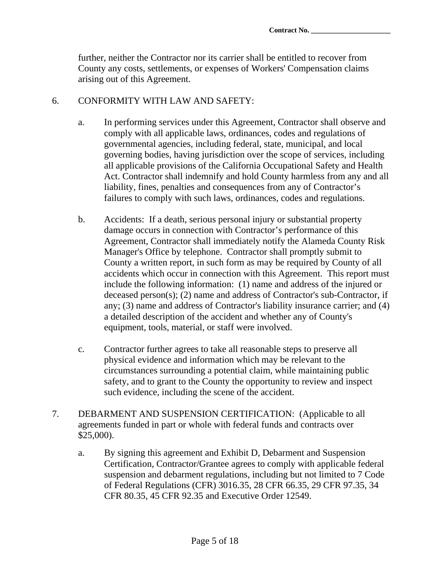further, neither the Contractor nor its carrier shall be entitled to recover from County any costs, settlements, or expenses of Workers' Compensation claims arising out of this Agreement.

#### 6. CONFORMITY WITH LAW AND SAFETY:

- a. In performing services under this Agreement, Contractor shall observe and comply with all applicable laws, ordinances, codes and regulations of governmental agencies, including federal, state, municipal, and local governing bodies, having jurisdiction over the scope of services, including all applicable provisions of the California Occupational Safety and Health Act. Contractor shall indemnify and hold County harmless from any and all liability, fines, penalties and consequences from any of Contractor's failures to comply with such laws, ordinances, codes and regulations.
- b. Accidents: If a death, serious personal injury or substantial property damage occurs in connection with Contractor's performance of this Agreement, Contractor shall immediately notify the Alameda County Risk Manager's Office by telephone. Contractor shall promptly submit to County a written report, in such form as may be required by County of all accidents which occur in connection with this Agreement. This report must include the following information: (1) name and address of the injured or deceased person(s); (2) name and address of Contractor's sub-Contractor, if any; (3) name and address of Contractor's liability insurance carrier; and (4) a detailed description of the accident and whether any of County's equipment, tools, material, or staff were involved.
- c. Contractor further agrees to take all reasonable steps to preserve all physical evidence and information which may be relevant to the circumstances surrounding a potential claim, while maintaining public safety, and to grant to the County the opportunity to review and inspect such evidence, including the scene of the accident.
- 7. DEBARMENT AND SUSPENSION CERTIFICATION: (Applicable to all agreements funded in part or whole with federal funds and contracts over \$25,000).
	- a. By signing this agreement and Exhibit D, Debarment and Suspension Certification, Contractor/Grantee agrees to comply with applicable federal suspension and debarment regulations, including but not limited to 7 Code of Federal Regulations (CFR) 3016.35, 28 CFR 66.35, 29 CFR 97.35, 34 CFR 80.35, 45 CFR 92.35 and Executive Order 12549.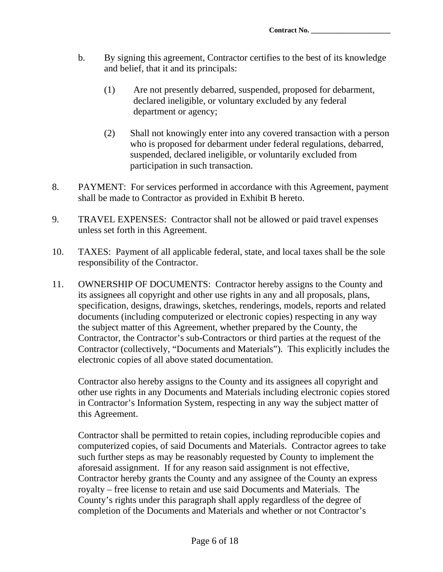**Contract No. \_\_\_\_\_\_\_\_\_\_\_\_\_\_\_\_\_\_\_\_\_\_** 

- b. By signing this agreement, Contractor certifies to the best of its knowledge and belief, that it and its principals:
	- (1) Are not presently debarred, suspended, proposed for debarment, declared ineligible, or voluntary excluded by any federal department or agency;
	- (2) Shall not knowingly enter into any covered transaction with a person who is proposed for debarment under federal regulations, debarred, suspended, declared ineligible, or voluntarily excluded from participation in such transaction.
- 8. PAYMENT: For services performed in accordance with this Agreement, payment shall be made to Contractor as provided in Exhibit B hereto.
- 9. TRAVEL EXPENSES: Contractor shall not be allowed or paid travel expenses unless set forth in this Agreement.
- 10. TAXES: Payment of all applicable federal, state, and local taxes shall be the sole responsibility of the Contractor.
- 11. OWNERSHIP OF DOCUMENTS: Contractor hereby assigns to the County and its assignees all copyright and other use rights in any and all proposals, plans, specification, designs, drawings, sketches, renderings, models, reports and related documents (including computerized or electronic copies) respecting in any way the subject matter of this Agreement, whether prepared by the County, the Contractor, the Contractor's sub-Contractors or third parties at the request of the Contractor (collectively, "Documents and Materials"). This explicitly includes the electronic copies of all above stated documentation.

Contractor also hereby assigns to the County and its assignees all copyright and other use rights in any Documents and Materials including electronic copies stored in Contractor's Information System, respecting in any way the subject matter of this Agreement.

Contractor shall be permitted to retain copies, including reproducible copies and computerized copies, of said Documents and Materials. Contractor agrees to take such further steps as may be reasonably requested by County to implement the aforesaid assignment. If for any reason said assignment is not effective, Contractor hereby grants the County and any assignee of the County an express royalty – free license to retain and use said Documents and Materials. The County's rights under this paragraph shall apply regardless of the degree of completion of the Documents and Materials and whether or not Contractor's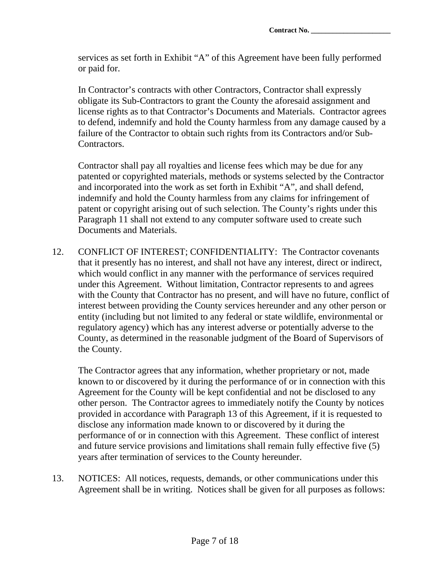services as set forth in Exhibit "A" of this Agreement have been fully performed or paid for.

In Contractor's contracts with other Contractors, Contractor shall expressly obligate its Sub-Contractors to grant the County the aforesaid assignment and license rights as to that Contractor's Documents and Materials. Contractor agrees to defend, indemnify and hold the County harmless from any damage caused by a failure of the Contractor to obtain such rights from its Contractors and/or Sub-Contractors.

Contractor shall pay all royalties and license fees which may be due for any patented or copyrighted materials, methods or systems selected by the Contractor and incorporated into the work as set forth in Exhibit "A", and shall defend, indemnify and hold the County harmless from any claims for infringement of patent or copyright arising out of such selection. The County's rights under this Paragraph 11 shall not extend to any computer software used to create such Documents and Materials.

12. CONFLICT OF INTEREST; CONFIDENTIALITY: The Contractor covenants that it presently has no interest, and shall not have any interest, direct or indirect, which would conflict in any manner with the performance of services required under this Agreement. Without limitation, Contractor represents to and agrees with the County that Contractor has no present, and will have no future, conflict of interest between providing the County services hereunder and any other person or entity (including but not limited to any federal or state wildlife, environmental or regulatory agency) which has any interest adverse or potentially adverse to the County, as determined in the reasonable judgment of the Board of Supervisors of the County.

The Contractor agrees that any information, whether proprietary or not, made known to or discovered by it during the performance of or in connection with this Agreement for the County will be kept confidential and not be disclosed to any other person. The Contractor agrees to immediately notify the County by notices provided in accordance with Paragraph 13 of this Agreement, if it is requested to disclose any information made known to or discovered by it during the performance of or in connection with this Agreement. These conflict of interest and future service provisions and limitations shall remain fully effective five (5) years after termination of services to the County hereunder.

13. NOTICES: All notices, requests, demands, or other communications under this Agreement shall be in writing. Notices shall be given for all purposes as follows: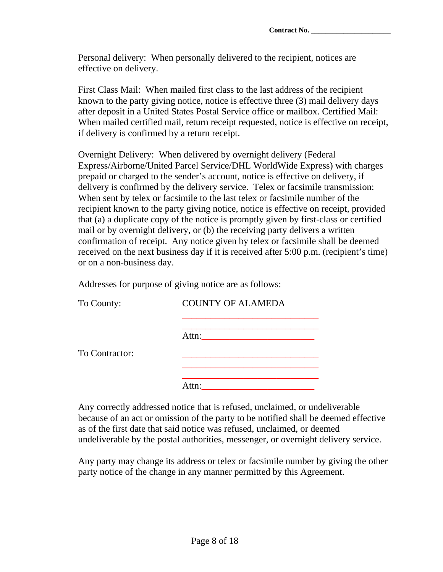Personal delivery: When personally delivered to the recipient, notices are effective on delivery.

First Class Mail: When mailed first class to the last address of the recipient known to the party giving notice, notice is effective three (3) mail delivery days after deposit in a United States Postal Service office or mailbox. Certified Mail: When mailed certified mail, return receipt requested, notice is effective on receipt, if delivery is confirmed by a return receipt.

Overnight Delivery: When delivered by overnight delivery (Federal Express/Airborne/United Parcel Service/DHL WorldWide Express) with charges prepaid or charged to the sender's account, notice is effective on delivery, if delivery is confirmed by the delivery service. Telex or facsimile transmission: When sent by telex or facsimile to the last telex or facsimile number of the recipient known to the party giving notice, notice is effective on receipt, provided that (a) a duplicate copy of the notice is promptly given by first-class or certified mail or by overnight delivery, or (b) the receiving party delivers a written confirmation of receipt. Any notice given by telex or facsimile shall be deemed received on the next business day if it is received after 5:00 p.m. (recipient's time) or on a non-business day.

Addresses for purpose of giving notice are as follows:

| To County:     | <b>COUNTY OF ALAMEDA</b> |  |  |
|----------------|--------------------------|--|--|
|                | Attn:                    |  |  |
| To Contractor: |                          |  |  |
|                | sttn:                    |  |  |

Any correctly addressed notice that is refused, unclaimed, or undeliverable because of an act or omission of the party to be notified shall be deemed effective as of the first date that said notice was refused, unclaimed, or deemed undeliverable by the postal authorities, messenger, or overnight delivery service.

Any party may change its address or telex or facsimile number by giving the other party notice of the change in any manner permitted by this Agreement.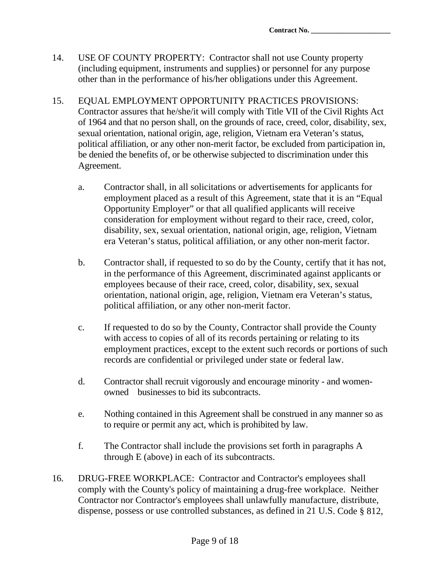- 14. USE OF COUNTY PROPERTY: Contractor shall not use County property (including equipment, instruments and supplies) or personnel for any purpose other than in the performance of his/her obligations under this Agreement.
- 15. EQUAL EMPLOYMENT OPPORTUNITY PRACTICES PROVISIONS: Contractor assures that he/she/it will comply with Title VII of the Civil Rights Act of 1964 and that no person shall, on the grounds of race, creed, color, disability, sex, sexual orientation, national origin, age, religion, Vietnam era Veteran's status, political affiliation, or any other non-merit factor, be excluded from participation in, be denied the benefits of, or be otherwise subjected to discrimination under this Agreement.
	- a. Contractor shall, in all solicitations or advertisements for applicants for employment placed as a result of this Agreement, state that it is an "Equal Opportunity Employer" or that all qualified applicants will receive consideration for employment without regard to their race, creed, color, disability, sex, sexual orientation, national origin, age, religion, Vietnam era Veteran's status, political affiliation, or any other non-merit factor.
	- b. Contractor shall, if requested to so do by the County, certify that it has not, in the performance of this Agreement, discriminated against applicants or employees because of their race, creed, color, disability, sex, sexual orientation, national origin, age, religion, Vietnam era Veteran's status, political affiliation, or any other non-merit factor.
	- c. If requested to do so by the County, Contractor shall provide the County with access to copies of all of its records pertaining or relating to its employment practices, except to the extent such records or portions of such records are confidential or privileged under state or federal law.
	- d. Contractor shall recruit vigorously and encourage minority and womenowned businesses to bid its subcontracts.
	- e. Nothing contained in this Agreement shall be construed in any manner so as to require or permit any act, which is prohibited by law.
	- f. The Contractor shall include the provisions set forth in paragraphs A through E (above) in each of its subcontracts.
- 16. DRUG-FREE WORKPLACE: Contractor and Contractor's employees shall comply with the County's policy of maintaining a drug-free workplace. Neither Contractor nor Contractor's employees shall unlawfully manufacture, distribute, dispense, possess or use controlled substances, as defined in 21 U.S. Code § 812,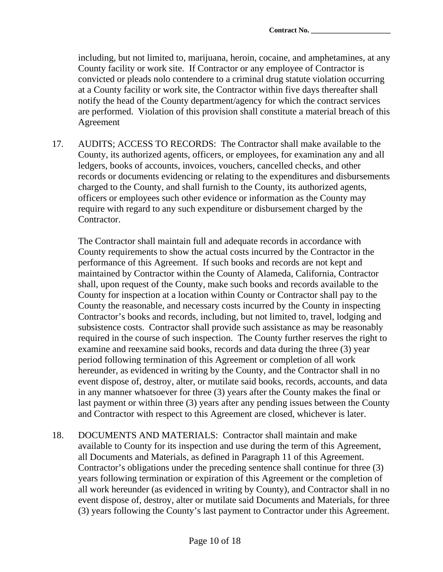including, but not limited to, marijuana, heroin, cocaine, and amphetamines, at any County facility or work site. If Contractor or any employee of Contractor is convicted or pleads nolo contendere to a criminal drug statute violation occurring at a County facility or work site, the Contractor within five days thereafter shall notify the head of the County department/agency for which the contract services are performed. Violation of this provision shall constitute a material breach of this Agreement

17. AUDITS; ACCESS TO RECORDS: The Contractor shall make available to the County, its authorized agents, officers, or employees, for examination any and all ledgers, books of accounts, invoices, vouchers, cancelled checks, and other records or documents evidencing or relating to the expenditures and disbursements charged to the County, and shall furnish to the County, its authorized agents, officers or employees such other evidence or information as the County may require with regard to any such expenditure or disbursement charged by the Contractor.

The Contractor shall maintain full and adequate records in accordance with County requirements to show the actual costs incurred by the Contractor in the performance of this Agreement. If such books and records are not kept and maintained by Contractor within the County of Alameda, California, Contractor shall, upon request of the County, make such books and records available to the County for inspection at a location within County or Contractor shall pay to the County the reasonable, and necessary costs incurred by the County in inspecting Contractor's books and records, including, but not limited to, travel, lodging and subsistence costs. Contractor shall provide such assistance as may be reasonably required in the course of such inspection. The County further reserves the right to examine and reexamine said books, records and data during the three (3) year period following termination of this Agreement or completion of all work hereunder, as evidenced in writing by the County, and the Contractor shall in no event dispose of, destroy, alter, or mutilate said books, records, accounts, and data in any manner whatsoever for three (3) years after the County makes the final or last payment or within three (3) years after any pending issues between the County and Contractor with respect to this Agreement are closed, whichever is later.

18. DOCUMENTS AND MATERIALS: Contractor shall maintain and make available to County for its inspection and use during the term of this Agreement, all Documents and Materials, as defined in Paragraph 11 of this Agreement. Contractor's obligations under the preceding sentence shall continue for three (3) years following termination or expiration of this Agreement or the completion of all work hereunder (as evidenced in writing by County), and Contractor shall in no event dispose of, destroy, alter or mutilate said Documents and Materials, for three (3) years following the County's last payment to Contractor under this Agreement.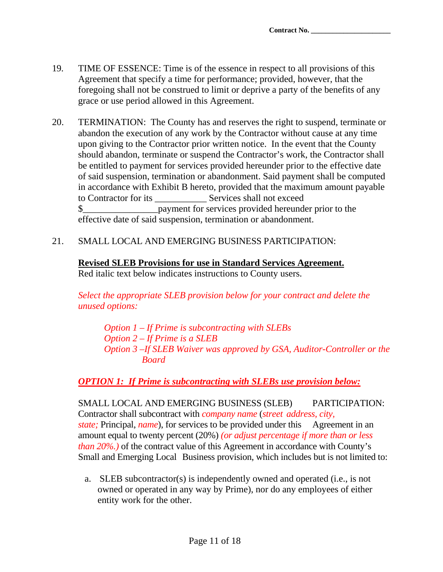- 19. TIME OF ESSENCE: Time is of the essence in respect to all provisions of this Agreement that specify a time for performance; provided, however, that the foregoing shall not be construed to limit or deprive a party of the benefits of any grace or use period allowed in this Agreement.
- 20. TERMINATION: The County has and reserves the right to suspend, terminate or abandon the execution of any work by the Contractor without cause at any time upon giving to the Contractor prior written notice. In the event that the County should abandon, terminate or suspend the Contractor's work, the Contractor shall be entitled to payment for services provided hereunder prior to the effective date of said suspension, termination or abandonment. Said payment shall be computed in accordance with Exhibit B hereto, provided that the maximum amount payable to Contractor for its Services shall not exceed \$\_\_\_\_\_\_\_\_\_\_\_\_\_\_\_\_payment for services provided hereunder prior to the effective date of said suspension, termination or abandonment.
- 21. SMALL LOCAL AND EMERGING BUSINESS PARTICIPATION:

# **Revised SLEB Provisions for use in Standard Services Agreement.**

Red italic text below indicates instructions to County users.

*Select the appropriate SLEB provision below for your contract and delete the unused options:* 

 *Option 1 – If Prime is subcontracting with SLEBs Option 2 – If Prime is a SLEB Option 3 –If SLEB Waiver was approved by GSA, Auditor-Controller or the Board* 

*OPTION 1: If Prime is subcontracting with SLEBs use provision below:*

SMALL LOCAL AND EMERGING BUSINESS (SLEB) PARTICIPATION: Contractor shall subcontract with *company name* (*street address, city, state;* Principal, *name*), for services to be provided under this Agreement in an amount equal to twenty percent (20%) *(or adjust percentage if more than or less than 20%.)* of the contract value of this Agreement in accordance with County's Small and Emerging Local Business provision, which includes but is not limited to:

a. SLEB subcontractor(s) is independently owned and operated (i.e., is not owned or operated in any way by Prime), nor do any employees of either entity work for the other.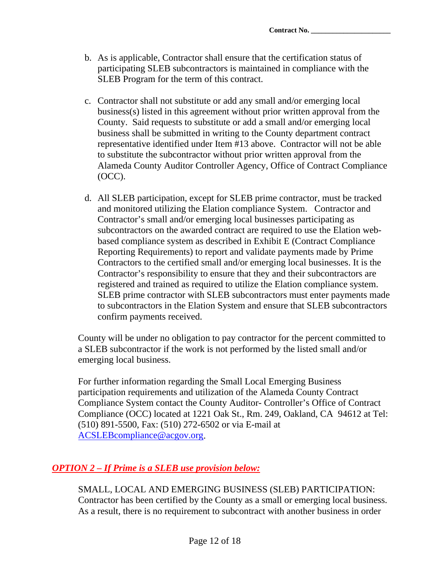- b. As is applicable, Contractor shall ensure that the certification status of participating SLEB subcontractors is maintained in compliance with the SLEB Program for the term of this contract.
- c. Contractor shall not substitute or add any small and/or emerging local business(s) listed in this agreement without prior written approval from the County. Said requests to substitute or add a small and/or emerging local business shall be submitted in writing to the County department contract representative identified under Item #13 above. Contractor will not be able to substitute the subcontractor without prior written approval from the Alameda County Auditor Controller Agency, Office of Contract Compliance (OCC).
- d. All SLEB participation, except for SLEB prime contractor, must be tracked and monitored utilizing the Elation compliance System. Contractor and Contractor's small and/or emerging local businesses participating as subcontractors on the awarded contract are required to use the Elation webbased compliance system as described in Exhibit E (Contract Compliance Reporting Requirements) to report and validate payments made by Prime Contractors to the certified small and/or emerging local businesses. It is the Contractor's responsibility to ensure that they and their subcontractors are registered and trained as required to utilize the Elation compliance system. SLEB prime contractor with SLEB subcontractors must enter payments made to subcontractors in the Elation System and ensure that SLEB subcontractors confirm payments received.

County will be under no obligation to pay contractor for the percent committed to a SLEB subcontractor if the work is not performed by the listed small and/or emerging local business.

For further information regarding the Small Local Emerging Business participation requirements and utilization of the Alameda County Contract Compliance System contact the County Auditor- Controller's Office of Contract Compliance (OCC) located at 1221 Oak St., Rm. 249, Oakland, CA 94612 at Tel: (510) 891-5500, Fax: (510) 272-6502 or via E-mail at ACSLEBcompliance@acgov.org.

## *OPTION 2 – If Prime is a SLEB use provision below:*

SMALL, LOCAL AND EMERGING BUSINESS (SLEB) PARTICIPATION: Contractor has been certified by the County as a small or emerging local business. As a result, there is no requirement to subcontract with another business in order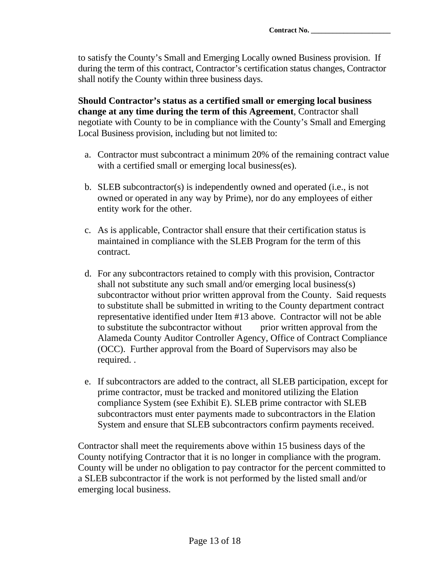to satisfy the County's Small and Emerging Locally owned Business provision. If during the term of this contract, Contractor's certification status changes, Contractor shall notify the County within three business days.

**Should Contractor's status as a certified small or emerging local business change at any time during the term of this Agreement**, Contractor shall negotiate with County to be in compliance with the County's Small and Emerging Local Business provision, including but not limited to:

- a. Contractor must subcontract a minimum 20% of the remaining contract value with a certified small or emerging local business(es).
- b. SLEB subcontractor(s) is independently owned and operated (i.e., is not owned or operated in any way by Prime), nor do any employees of either entity work for the other.
- c. As is applicable, Contractor shall ensure that their certification status is maintained in compliance with the SLEB Program for the term of this contract.
- d. For any subcontractors retained to comply with this provision, Contractor shall not substitute any such small and/or emerging local business(s) subcontractor without prior written approval from the County. Said requests to substitute shall be submitted in writing to the County department contract representative identified under Item #13 above. Contractor will not be able to substitute the subcontractor without prior written approval from the Alameda County Auditor Controller Agency, Office of Contract Compliance (OCC). Further approval from the Board of Supervisors may also be required. .
- e. If subcontractors are added to the contract, all SLEB participation, except for prime contractor, must be tracked and monitored utilizing the Elation compliance System (see Exhibit E). SLEB prime contractor with SLEB subcontractors must enter payments made to subcontractors in the Elation System and ensure that SLEB subcontractors confirm payments received.

Contractor shall meet the requirements above within 15 business days of the County notifying Contractor that it is no longer in compliance with the program. County will be under no obligation to pay contractor for the percent committed to a SLEB subcontractor if the work is not performed by the listed small and/or emerging local business.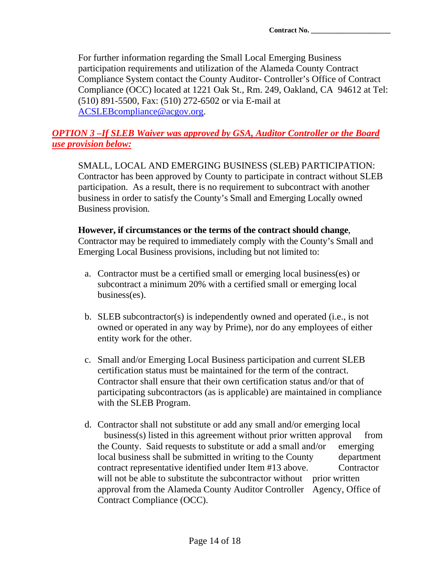For further information regarding the Small Local Emerging Business participation requirements and utilization of the Alameda County Contract Compliance System contact the County Auditor- Controller's Office of Contract Compliance (OCC) located at 1221 Oak St., Rm. 249, Oakland, CA 94612 at Tel: (510) 891-5500, Fax: (510) 272-6502 or via E-mail at ACSLEBcompliance@acgov.org.

### *OPTION 3 –If SLEB Waiver was approved by GSA, Auditor Controller or the Board use provision below:*

SMALL, LOCAL AND EMERGING BUSINESS (SLEB) PARTICIPATION: Contractor has been approved by County to participate in contract without SLEB participation. As a result, there is no requirement to subcontract with another business in order to satisfy the County's Small and Emerging Locally owned Business provision.

#### **However, if circumstances or the terms of the contract should change**, Contractor may be required to immediately comply with the County's Small and Emerging Local Business provisions, including but not limited to:

- a. Contractor must be a certified small or emerging local business(es) or subcontract a minimum 20% with a certified small or emerging local business(es).
- b. SLEB subcontractor(s) is independently owned and operated (i.e., is not owned or operated in any way by Prime), nor do any employees of either entity work for the other.
- c. Small and/or Emerging Local Business participation and current SLEB certification status must be maintained for the term of the contract. Contractor shall ensure that their own certification status and/or that of participating subcontractors (as is applicable) are maintained in compliance with the SLEB Program.
- d. Contractor shall not substitute or add any small and/or emerging local business(s) listed in this agreement without prior written approval from the County. Said requests to substitute or add a small and/or emerging local business shall be submitted in writing to the County department contract representative identified under Item #13 above. Contractor will not be able to substitute the subcontractor without prior written approval from the Alameda County Auditor Controller Agency, Office of Contract Compliance (OCC).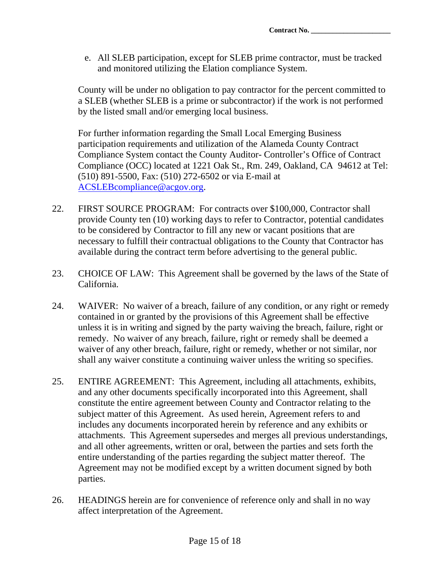e. All SLEB participation, except for SLEB prime contractor, must be tracked and monitored utilizing the Elation compliance System.

County will be under no obligation to pay contractor for the percent committed to a SLEB (whether SLEB is a prime or subcontractor) if the work is not performed by the listed small and/or emerging local business.

For further information regarding the Small Local Emerging Business participation requirements and utilization of the Alameda County Contract Compliance System contact the County Auditor- Controller's Office of Contract Compliance (OCC) located at 1221 Oak St., Rm. 249, Oakland, CA 94612 at Tel: (510) 891-5500, Fax: (510) 272-6502 or via E-mail at ACSLEBcompliance@acgov.org.

- 22. FIRST SOURCE PROGRAM: For contracts over \$100,000, Contractor shall provide County ten (10) working days to refer to Contractor, potential candidates to be considered by Contractor to fill any new or vacant positions that are necessary to fulfill their contractual obligations to the County that Contractor has available during the contract term before advertising to the general public.
- 23. CHOICE OF LAW: This Agreement shall be governed by the laws of the State of California.
- 24. WAIVER: No waiver of a breach, failure of any condition, or any right or remedy contained in or granted by the provisions of this Agreement shall be effective unless it is in writing and signed by the party waiving the breach, failure, right or remedy. No waiver of any breach, failure, right or remedy shall be deemed a waiver of any other breach, failure, right or remedy, whether or not similar, nor shall any waiver constitute a continuing waiver unless the writing so specifies.
- 25. ENTIRE AGREEMENT: This Agreement, including all attachments, exhibits, and any other documents specifically incorporated into this Agreement, shall constitute the entire agreement between County and Contractor relating to the subject matter of this Agreement. As used herein, Agreement refers to and includes any documents incorporated herein by reference and any exhibits or attachments. This Agreement supersedes and merges all previous understandings, and all other agreements, written or oral, between the parties and sets forth the entire understanding of the parties regarding the subject matter thereof. The Agreement may not be modified except by a written document signed by both parties.
- 26. HEADINGS herein are for convenience of reference only and shall in no way affect interpretation of the Agreement.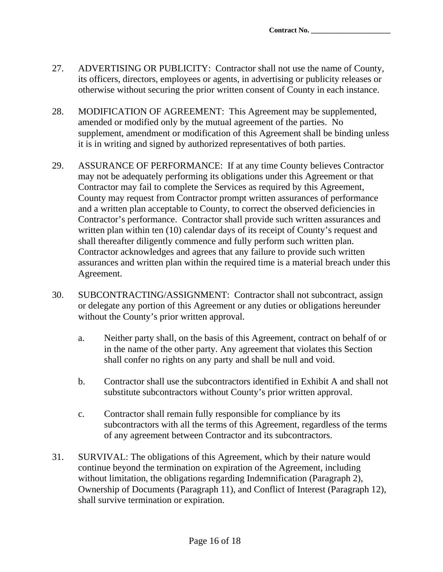- 27. ADVERTISING OR PUBLICITY: Contractor shall not use the name of County, its officers, directors, employees or agents, in advertising or publicity releases or otherwise without securing the prior written consent of County in each instance.
- 28. MODIFICATION OF AGREEMENT: This Agreement may be supplemented, amended or modified only by the mutual agreement of the parties. No supplement, amendment or modification of this Agreement shall be binding unless it is in writing and signed by authorized representatives of both parties.
- 29. ASSURANCE OF PERFORMANCE: If at any time County believes Contractor may not be adequately performing its obligations under this Agreement or that Contractor may fail to complete the Services as required by this Agreement, County may request from Contractor prompt written assurances of performance and a written plan acceptable to County, to correct the observed deficiencies in Contractor's performance. Contractor shall provide such written assurances and written plan within ten (10) calendar days of its receipt of County's request and shall thereafter diligently commence and fully perform such written plan. Contractor acknowledges and agrees that any failure to provide such written assurances and written plan within the required time is a material breach under this Agreement.
- 30. SUBCONTRACTING/ASSIGNMENT: Contractor shall not subcontract, assign or delegate any portion of this Agreement or any duties or obligations hereunder without the County's prior written approval.
	- a. Neither party shall, on the basis of this Agreement, contract on behalf of or in the name of the other party. Any agreement that violates this Section shall confer no rights on any party and shall be null and void.
	- b. Contractor shall use the subcontractors identified in Exhibit A and shall not substitute subcontractors without County's prior written approval.
	- c. Contractor shall remain fully responsible for compliance by its subcontractors with all the terms of this Agreement, regardless of the terms of any agreement between Contractor and its subcontractors.
- 31. SURVIVAL: The obligations of this Agreement, which by their nature would continue beyond the termination on expiration of the Agreement, including without limitation, the obligations regarding Indemnification (Paragraph 2), Ownership of Documents (Paragraph 11), and Conflict of Interest (Paragraph 12), shall survive termination or expiration.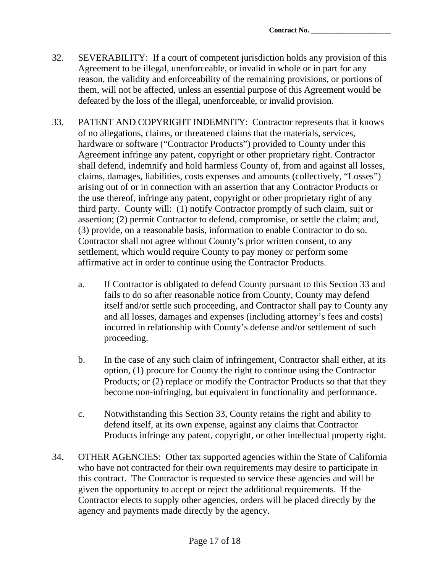- 32. SEVERABILITY: If a court of competent jurisdiction holds any provision of this Agreement to be illegal, unenforceable, or invalid in whole or in part for any reason, the validity and enforceability of the remaining provisions, or portions of them, will not be affected, unless an essential purpose of this Agreement would be defeated by the loss of the illegal, unenforceable, or invalid provision.
- 33. PATENT AND COPYRIGHT INDEMNITY: Contractor represents that it knows of no allegations, claims, or threatened claims that the materials, services, hardware or software ("Contractor Products") provided to County under this Agreement infringe any patent, copyright or other proprietary right. Contractor shall defend, indemnify and hold harmless County of, from and against all losses, claims, damages, liabilities, costs expenses and amounts (collectively, "Losses") arising out of or in connection with an assertion that any Contractor Products or the use thereof, infringe any patent, copyright or other proprietary right of any third party. County will: (1) notify Contractor promptly of such claim, suit or assertion; (2) permit Contractor to defend, compromise, or settle the claim; and, (3) provide, on a reasonable basis, information to enable Contractor to do so. Contractor shall not agree without County's prior written consent, to any settlement, which would require County to pay money or perform some affirmative act in order to continue using the Contractor Products.
	- a. If Contractor is obligated to defend County pursuant to this Section 33 and fails to do so after reasonable notice from County, County may defend itself and/or settle such proceeding, and Contractor shall pay to County any and all losses, damages and expenses (including attorney's fees and costs) incurred in relationship with County's defense and/or settlement of such proceeding.
	- b. In the case of any such claim of infringement, Contractor shall either, at its option, (1) procure for County the right to continue using the Contractor Products; or (2) replace or modify the Contractor Products so that that they become non-infringing, but equivalent in functionality and performance.
	- c. Notwithstanding this Section 33, County retains the right and ability to defend itself, at its own expense, against any claims that Contractor Products infringe any patent, copyright, or other intellectual property right.
- 34. OTHER AGENCIES: Other tax supported agencies within the State of California who have not contracted for their own requirements may desire to participate in this contract. The Contractor is requested to service these agencies and will be given the opportunity to accept or reject the additional requirements. If the Contractor elects to supply other agencies, orders will be placed directly by the agency and payments made directly by the agency.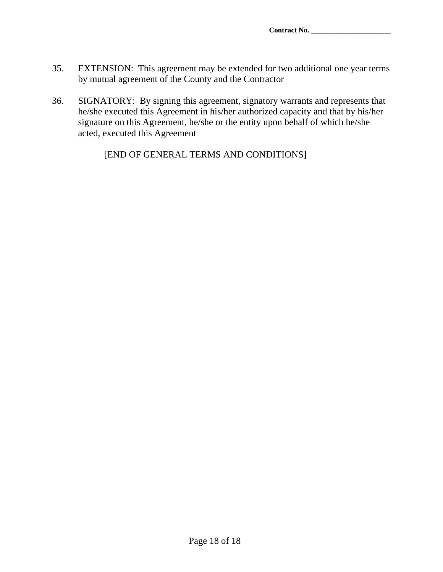- 35. EXTENSION: This agreement may be extended for two additional one year terms by mutual agreement of the County and the Contractor
- 36. SIGNATORY: By signing this agreement, signatory warrants and represents that he/she executed this Agreement in his/her authorized capacity and that by his/her signature on this Agreement, he/she or the entity upon behalf of which he/she acted, executed this Agreement

[END OF GENERAL TERMS AND CONDITIONS]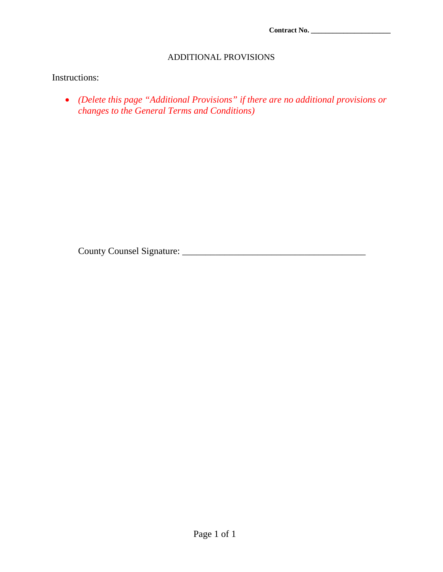**Contract No. \_\_\_\_\_\_\_\_\_\_\_\_\_\_\_\_\_\_\_\_\_\_** 

#### ADDITIONAL PROVISIONS

## Instructions:

 *(Delete this page "Additional Provisions" if there are no additional provisions or changes to the General Terms and Conditions)*

County Counsel Signature: \_\_\_\_\_\_\_\_\_\_\_\_\_\_\_\_\_\_\_\_\_\_\_\_\_\_\_\_\_\_\_\_\_\_\_\_\_\_\_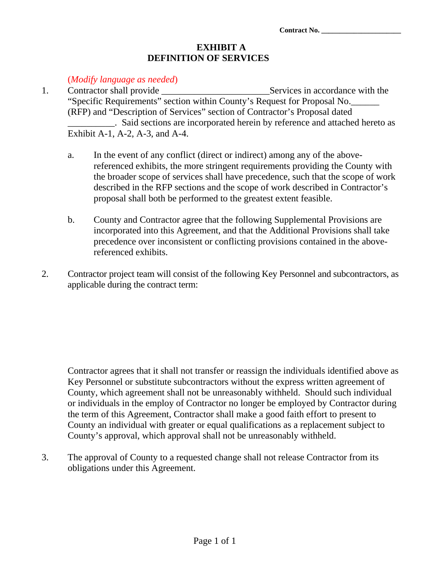#### **EXHIBIT A DEFINITION OF SERVICES**

#### (*Modify language as needed*)

- 1. Contractor shall provide \_\_\_\_\_\_\_\_\_\_\_\_\_\_\_\_\_\_\_\_\_\_\_Services in accordance with the "Specific Requirements" section within County's Request for Proposal No.\_\_\_\_\_\_ (RFP) and "Description of Services" section of Contractor's Proposal dated \_\_\_\_\_\_\_\_\_\_. Said sections are incorporated herein by reference and attached hereto as Exhibit A-1, A-2, A-3, and A-4.
	- a. In the event of any conflict (direct or indirect) among any of the abovereferenced exhibits, the more stringent requirements providing the County with the broader scope of services shall have precedence, such that the scope of work described in the RFP sections and the scope of work described in Contractor's proposal shall both be performed to the greatest extent feasible.
	- b. County and Contractor agree that the following Supplemental Provisions are incorporated into this Agreement, and that the Additional Provisions shall take precedence over inconsistent or conflicting provisions contained in the abovereferenced exhibits.
- 2. Contractor project team will consist of the following Key Personnel and subcontractors, as applicable during the contract term:

Contractor agrees that it shall not transfer or reassign the individuals identified above as Key Personnel or substitute subcontractors without the express written agreement of County, which agreement shall not be unreasonably withheld. Should such individual or individuals in the employ of Contractor no longer be employed by Contractor during the term of this Agreement, Contractor shall make a good faith effort to present to County an individual with greater or equal qualifications as a replacement subject to County's approval, which approval shall not be unreasonably withheld.

3. The approval of County to a requested change shall not release Contractor from its obligations under this Agreement.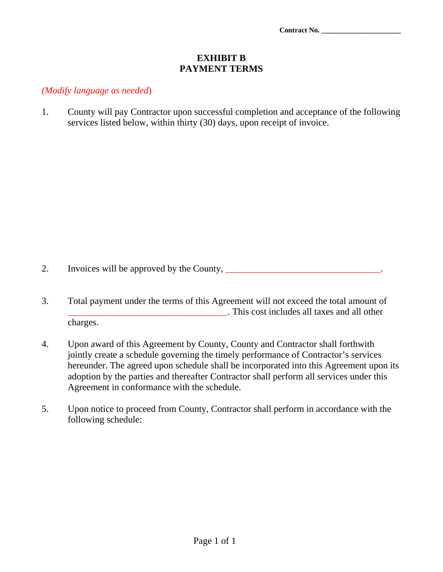#### **EXHIBIT B PAYMENT TERMS**

#### *(Modify language as needed*)

1. County will pay Contractor upon successful completion and acceptance of the following services listed below, within thirty (30) days, upon receipt of invoice.

2. Invoices will be approved by the County,

- 3. Total payment under the terms of this Agreement will not exceed the total amount of This cost includes all taxes and all other charges.
- 4. Upon award of this Agreement by County, County and Contractor shall forthwith jointly create a schedule governing the timely performance of Contractor's services hereunder. The agreed upon schedule shall be incorporated into this Agreement upon its adoption by the parties and thereafter Contractor shall perform all services under this Agreement in conformance with the schedule.
- 5. Upon notice to proceed from County, Contractor shall perform in accordance with the following schedule: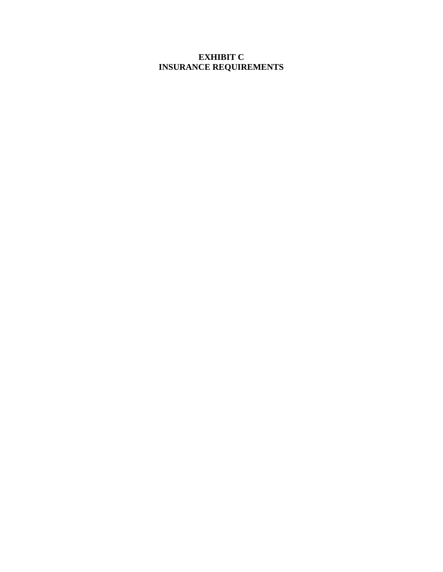#### **EXHIBIT C INSURANCE REQUIREMENTS**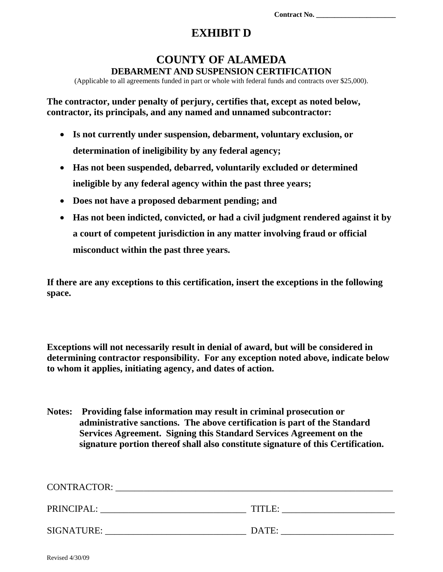## **EXHIBIT D**

## **COUNTY OF ALAMEDA DEBARMENT AND SUSPENSION CERTIFICATION**

(Applicable to all agreements funded in part or whole with federal funds and contracts over \$25,000).

**The contractor, under penalty of perjury, certifies that, except as noted below, contractor, its principals, and any named and unnamed subcontractor:** 

- **Is not currently under suspension, debarment, voluntary exclusion, or determination of ineligibility by any federal agency;**
- **Has not been suspended, debarred, voluntarily excluded or determined ineligible by any federal agency within the past three years;**
- **Does not have a proposed debarment pending; and**
- **Has not been indicted, convicted, or had a civil judgment rendered against it by a court of competent jurisdiction in any matter involving fraud or official misconduct within the past three years.**

**If there are any exceptions to this certification, insert the exceptions in the following space.** 

**Exceptions will not necessarily result in denial of award, but will be considered in determining contractor responsibility. For any exception noted above, indicate below to whom it applies, initiating agency, and dates of action.** 

**Notes: Providing false information may result in criminal prosecution or administrative sanctions. The above certification is part of the Standard Services Agreement. Signing this Standard Services Agreement on the signature portion thereof shall also constitute signature of this Certification.** 

| <b>CONTRACTOR:</b> |        |
|--------------------|--------|
| PRINCIPAL:         | TITLE: |
| SIGNATURE:         | DATE:  |